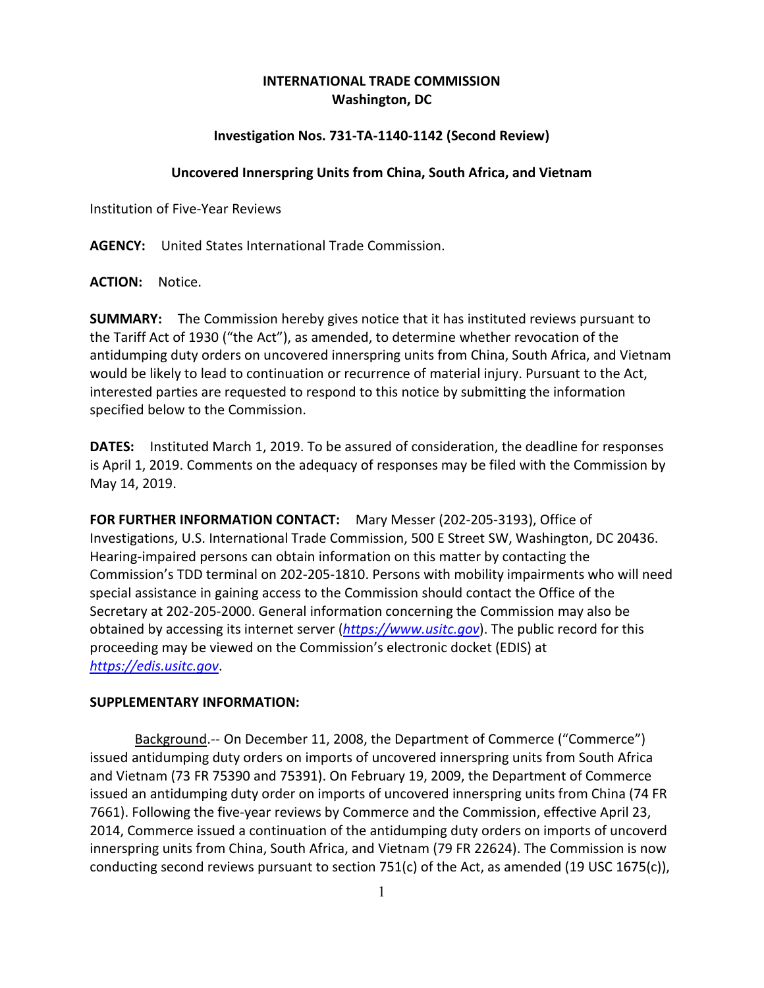# **INTERNATIONAL TRADE COMMISSION Washington, DC**

## **Investigation Nos. 731-TA-1140-1142 (Second Review)**

### **Uncovered Innerspring Units from China, South Africa, and Vietnam**

Institution of Five-Year Reviews

**AGENCY:** United States International Trade Commission.

**ACTION:** Notice.

**SUMMARY:** The Commission hereby gives notice that it has instituted reviews pursuant to the Tariff Act of 1930 ("the Act"), as amended, to determine whether revocation of the antidumping duty orders on uncovered innerspring units from China, South Africa, and Vietnam would be likely to lead to continuation or recurrence of material injury. Pursuant to the Act, interested parties are requested to respond to this notice by submitting the information specified below to the Commission.

**DATES:** Instituted March 1, 2019. To be assured of consideration, the deadline for responses is April 1, 2019. Comments on the adequacy of responses may be filed with the Commission by May 14, 2019.

**FOR FURTHER INFORMATION CONTACT:** Mary Messer (202-205-3193), Office of Investigations, U.S. International Trade Commission, 500 E Street SW, Washington, DC 20436. Hearing-impaired persons can obtain information on this matter by contacting the Commission's TDD terminal on 202-205-1810. Persons with mobility impairments who will need special assistance in gaining access to the Commission should contact the Office of the Secretary at 202-205-2000. General information concerning the Commission may also be obtained by accessing its internet server (*[https://www.usitc.gov](https://www.usitc.gov/)*). The public record for this proceeding may be viewed on the Commission's electronic docket (EDIS) at *[https://edis.usitc.gov](https://edis.usitc.gov/)*.

#### **SUPPLEMENTARY INFORMATION:**

Background.-- On December 11, 2008, the Department of Commerce ("Commerce") issued antidumping duty orders on imports of uncovered innerspring units from South Africa and Vietnam (73 FR 75390 and 75391). On February 19, 2009, the Department of Commerce issued an antidumping duty order on imports of uncovered innerspring units from China (74 FR 7661). Following the five-year reviews by Commerce and the Commission, effective April 23, 2014, Commerce issued a continuation of the antidumping duty orders on imports of uncoverd innerspring units from China, South Africa, and Vietnam (79 FR 22624). The Commission is now conducting second reviews pursuant to section 751(c) of the Act, as amended (19 USC 1675(c)),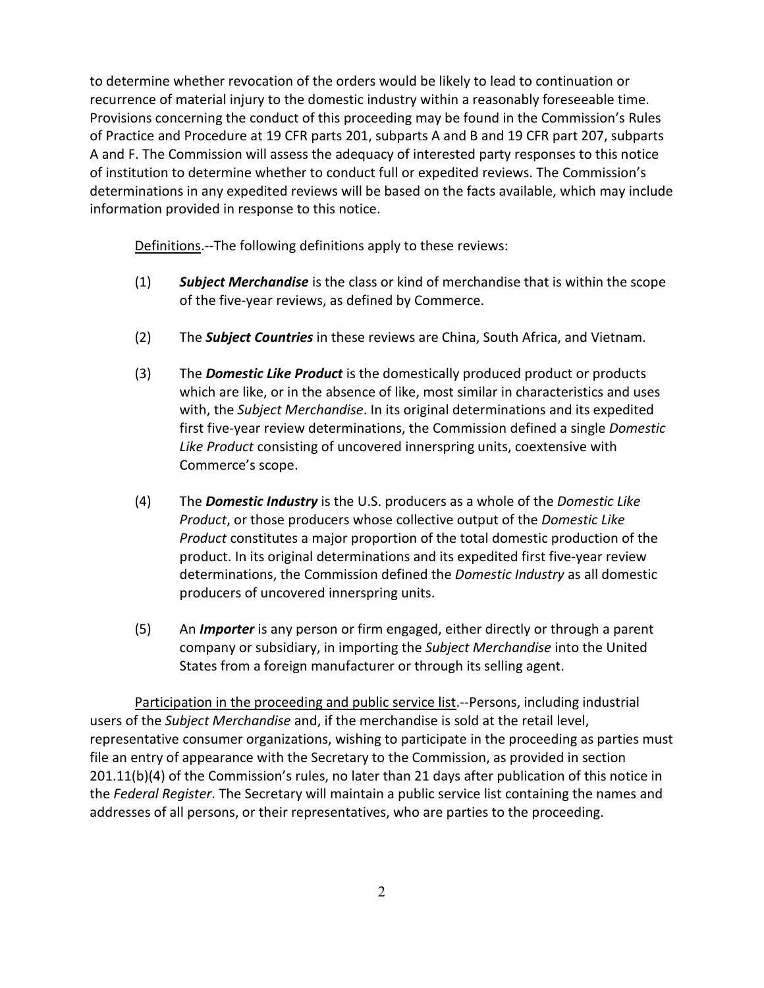to determine whether revocation of the orders would be likely to lead to continuation or recurrence of material injury to the domestic industry within a reasonably foreseeable time. Provisions concerning the conduct of this proceeding may be found in the Commission's Rules of Practice and Procedure at 19 CFR parts 201, subparts A and B and 19 CFR part 207, subparts A and F. The Commission will assess the adequacy of interested party responses to this notice of institution to determine whether to conduct full or expedited reviews. The Commission's determinations in any expedited reviews will be based on the facts available, which may include information provided in response to this notice.

Definitions.--The following definitions apply to these reviews:

- (1) *Subject Merchandise* is the class or kind of merchandise that is within the scope of the five-year reviews, as defined by Commerce.
- (2) The *Subject Countries* in these reviews are China, South Africa, and Vietnam.
- (3) The *Domestic Like Product* is the domestically produced product or products which are like, or in the absence of like, most similar in characteristics and uses with, the *Subject Merchandise*. In its original determinations and its expedited first five-year review determinations, the Commission defined a single *Domestic Like Product* consisting of uncovered innerspring units, coextensive with Commerce's scope.
- (4) The *Domestic Industry* is the U.S. producers as a whole of the *Domestic Like Product*, or those producers whose collective output of the *Domestic Like Product* constitutes a major proportion of the total domestic production of the product. In its original determinations and its expedited first five-year review determinations, the Commission defined the *Domestic Industry* as all domestic producers of uncovered innerspring units.
- (5) An *Importer* is any person or firm engaged, either directly or through a parent company or subsidiary, in importing the *Subject Merchandise* into the United States from a foreign manufacturer or through its selling agent.

Participation in the proceeding and public service list.--Persons, including industrial users of the *Subject Merchandise* and, if the merchandise is sold at the retail level, representative consumer organizations, wishing to participate in the proceeding as parties must file an entry of appearance with the Secretary to the Commission, as provided in section 201.11(b)(4) of the Commission's rules, no later than 21 days after publication of this notice in the *Federal Register*. The Secretary will maintain a public service list containing the names and addresses of all persons, or their representatives, who are parties to the proceeding.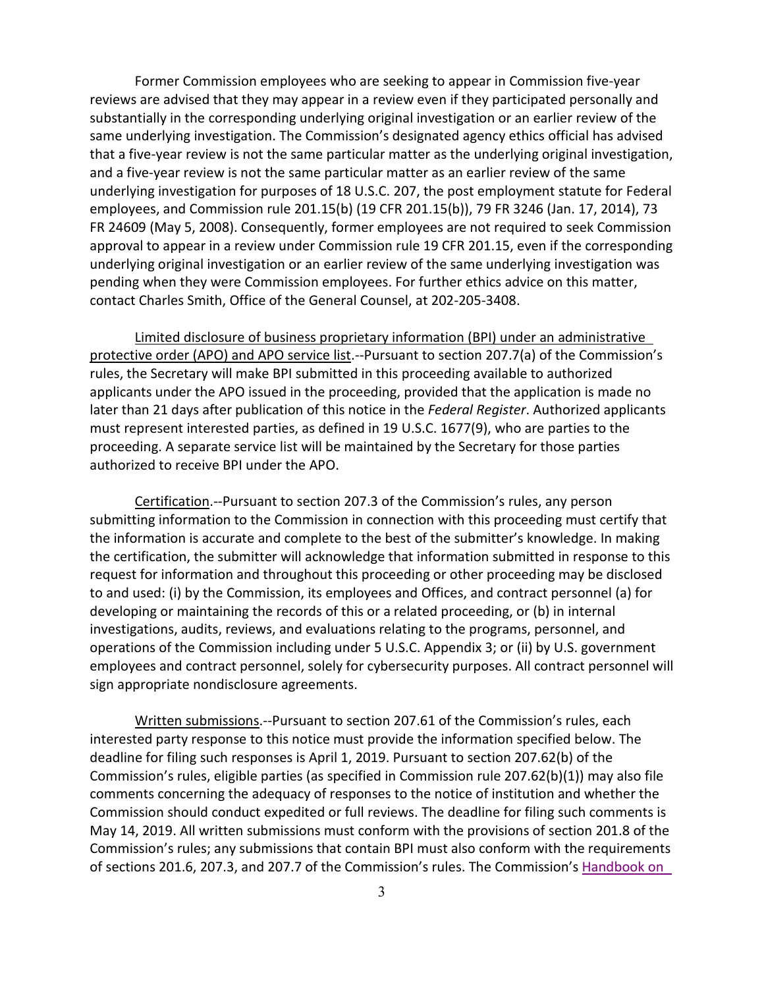Former Commission employees who are seeking to appear in Commission five-year reviews are advised that they may appear in a review even if they participated personally and substantially in the corresponding underlying original investigation or an earlier review of the same underlying investigation. The Commission's designated agency ethics official has advised that a five-year review is not the same particular matter as the underlying original investigation, and a five-year review is not the same particular matter as an earlier review of the same underlying investigation for purposes of 18 U.S.C. 207, the post employment statute for Federal employees, and Commission rule 201.15(b) (19 CFR 201.15(b)), 79 FR 3246 (Jan. 17, 2014), 73 FR 24609 (May 5, 2008). Consequently, former employees are not required to seek Commission approval to appear in a review under Commission rule 19 CFR 201.15, even if the corresponding underlying original investigation or an earlier review of the same underlying investigation was pending when they were Commission employees. For further ethics advice on this matter, contact Charles Smith, Office of the General Counsel, at 202-205-3408.

Limited disclosure of business proprietary information (BPI) under an administrative protective order (APO) and APO service list.--Pursuant to section 207.7(a) of the Commission's rules, the Secretary will make BPI submitted in this proceeding available to authorized applicants under the APO issued in the proceeding, provided that the application is made no later than 21 days after publication of this notice in the *Federal Register*. Authorized applicants must represent interested parties, as defined in 19 U.S.C. 1677(9), who are parties to the proceeding. A separate service list will be maintained by the Secretary for those parties authorized to receive BPI under the APO.

Certification.--Pursuant to section 207.3 of the Commission's rules, any person submitting information to the Commission in connection with this proceeding must certify that the information is accurate and complete to the best of the submitter's knowledge. In making the certification, the submitter will acknowledge that information submitted in response to this request for information and throughout this proceeding or other proceeding may be disclosed to and used: (i) by the Commission, its employees and Offices, and contract personnel (a) for developing or maintaining the records of this or a related proceeding, or (b) in internal investigations, audits, reviews, and evaluations relating to the programs, personnel, and operations of the Commission including under 5 U.S.C. Appendix 3; or (ii) by U.S. government employees and contract personnel, solely for cybersecurity purposes. All contract personnel will sign appropriate nondisclosure agreements.

Written submissions.--Pursuant to section 207.61 of the Commission's rules, each interested party response to this notice must provide the information specified below. The deadline for filing such responses is April 1, 2019. Pursuant to section 207.62(b) of the Commission's rules, eligible parties (as specified in Commission rule 207.62(b)(1)) may also file comments concerning the adequacy of responses to the notice of institution and whether the Commission should conduct expedited or full reviews. The deadline for filing such comments is May 14, 2019. All written submissions must conform with the provisions of section 201.8 of the Commission's rules; any submissions that contain BPI must also conform with the requirements of sections 201.6, 207.3, and 207.7 of the Commission's rules. The Commission's [Handbook on](https://www.usitc.gov/documents/handbook_on_filing_procedures.pdf)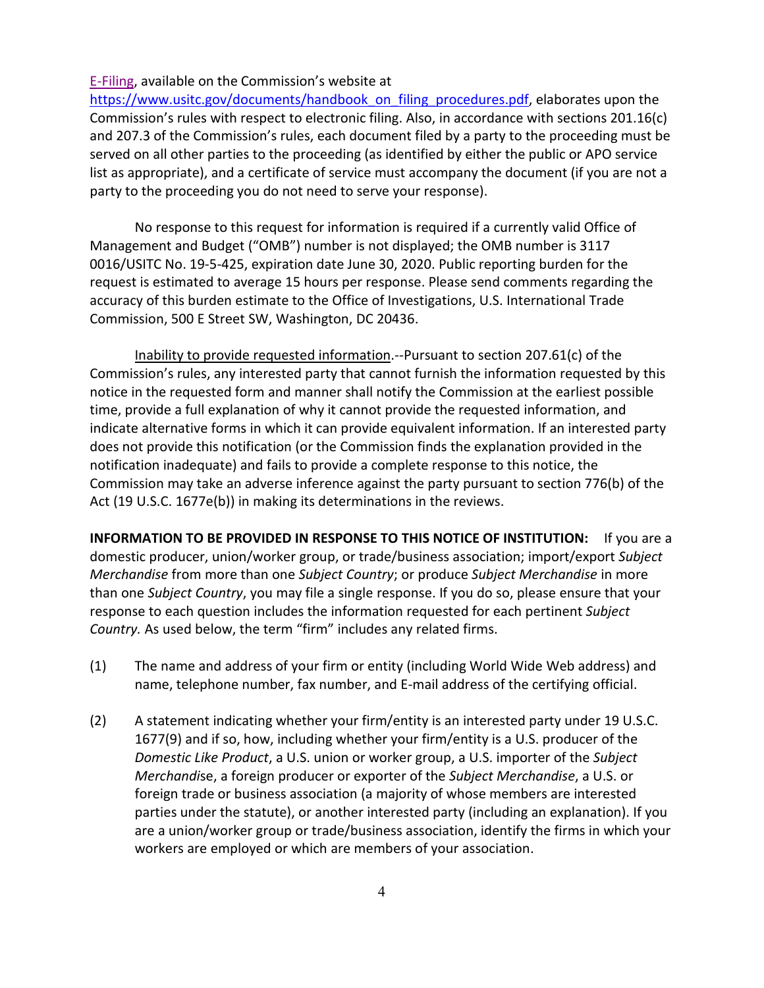### [E-Filing,](https://www.usitc.gov/documents/handbook_on_filing_procedures.pdf) available on the Commission's website at

https://www.usitc.gov/documents/handbook on filing procedures.pdf, elaborates upon the Commission's rules with respect to electronic filing. Also, in accordance with sections 201.16(c) and 207.3 of the Commission's rules, each document filed by a party to the proceeding must be served on all other parties to the proceeding (as identified by either the public or APO service list as appropriate), and a certificate of service must accompany the document (if you are not a party to the proceeding you do not need to serve your response).

No response to this request for information is required if a currently valid Office of Management and Budget ("OMB") number is not displayed; the OMB number is 3117 0016/USITC No. 19-5-425, expiration date June 30, 2020. Public reporting burden for the request is estimated to average 15 hours per response. Please send comments regarding the accuracy of this burden estimate to the Office of Investigations, U.S. International Trade Commission, 500 E Street SW, Washington, DC 20436.

Inability to provide requested information.--Pursuant to section 207.61(c) of the Commission's rules, any interested party that cannot furnish the information requested by this notice in the requested form and manner shall notify the Commission at the earliest possible time, provide a full explanation of why it cannot provide the requested information, and indicate alternative forms in which it can provide equivalent information. If an interested party does not provide this notification (or the Commission finds the explanation provided in the notification inadequate) and fails to provide a complete response to this notice, the Commission may take an adverse inference against the party pursuant to section 776(b) of the Act (19 U.S.C. 1677e(b)) in making its determinations in the reviews.

**INFORMATION TO BE PROVIDED IN RESPONSE TO THIS NOTICE OF INSTITUTION:** If you are a domestic producer, union/worker group, or trade/business association; import/export *Subject Merchandise* from more than one *Subject Country*; or produce *Subject Merchandise* in more than one *Subject Country*, you may file a single response. If you do so, please ensure that your response to each question includes the information requested for each pertinent *Subject Country.* As used below, the term "firm" includes any related firms.

- (1) The name and address of your firm or entity (including World Wide Web address) and name, telephone number, fax number, and E-mail address of the certifying official.
- (2) A statement indicating whether your firm/entity is an interested party under 19 U.S.C. 1677(9) and if so, how, including whether your firm/entity is a U.S. producer of the *Domestic Like Product*, a U.S. union or worker group, a U.S. importer of the *Subject Merchandi*se, a foreign producer or exporter of the *Subject Merchandise*, a U.S. or foreign trade or business association (a majority of whose members are interested parties under the statute), or another interested party (including an explanation). If you are a union/worker group or trade/business association, identify the firms in which your workers are employed or which are members of your association.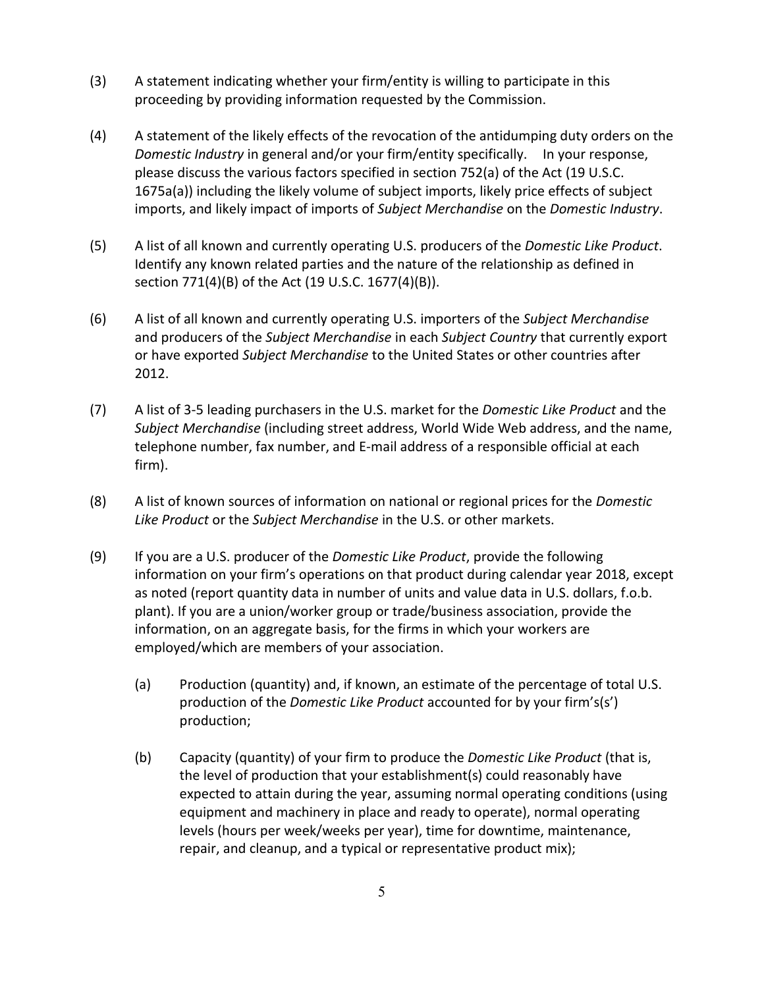- (3) A statement indicating whether your firm/entity is willing to participate in this proceeding by providing information requested by the Commission.
- (4) A statement of the likely effects of the revocation of the antidumping duty orders on the *Domestic Industry* in general and/or your firm/entity specifically. In your response, please discuss the various factors specified in section 752(a) of the Act (19 U.S.C. 1675a(a)) including the likely volume of subject imports, likely price effects of subject imports, and likely impact of imports of *Subject Merchandise* on the *Domestic Industry*.
- (5) A list of all known and currently operating U.S. producers of the *Domestic Like Product*. Identify any known related parties and the nature of the relationship as defined in section 771(4)(B) of the Act (19 U.S.C. 1677(4)(B)).
- (6) A list of all known and currently operating U.S. importers of the *Subject Merchandise* and producers of the *Subject Merchandise* in each *Subject Country* that currently export or have exported *Subject Merchandise* to the United States or other countries after 2012.
- (7) A list of 3-5 leading purchasers in the U.S. market for the *Domestic Like Product* and the *Subject Merchandise* (including street address, World Wide Web address, and the name, telephone number, fax number, and E-mail address of a responsible official at each firm).
- (8) A list of known sources of information on national or regional prices for the *Domestic Like Product* or the *Subject Merchandise* in the U.S. or other markets.
- (9) If you are a U.S. producer of the *Domestic Like Product*, provide the following information on your firm's operations on that product during calendar year 2018, except as noted (report quantity data in number of units and value data in U.S. dollars, f.o.b. plant). If you are a union/worker group or trade/business association, provide the information, on an aggregate basis, for the firms in which your workers are employed/which are members of your association.
	- (a) Production (quantity) and, if known, an estimate of the percentage of total U.S. production of the *Domestic Like Product* accounted for by your firm's(s') production;
	- (b) Capacity (quantity) of your firm to produce the *Domestic Like Product* (that is, the level of production that your establishment(s) could reasonably have expected to attain during the year, assuming normal operating conditions (using equipment and machinery in place and ready to operate), normal operating levels (hours per week/weeks per year), time for downtime, maintenance, repair, and cleanup, and a typical or representative product mix);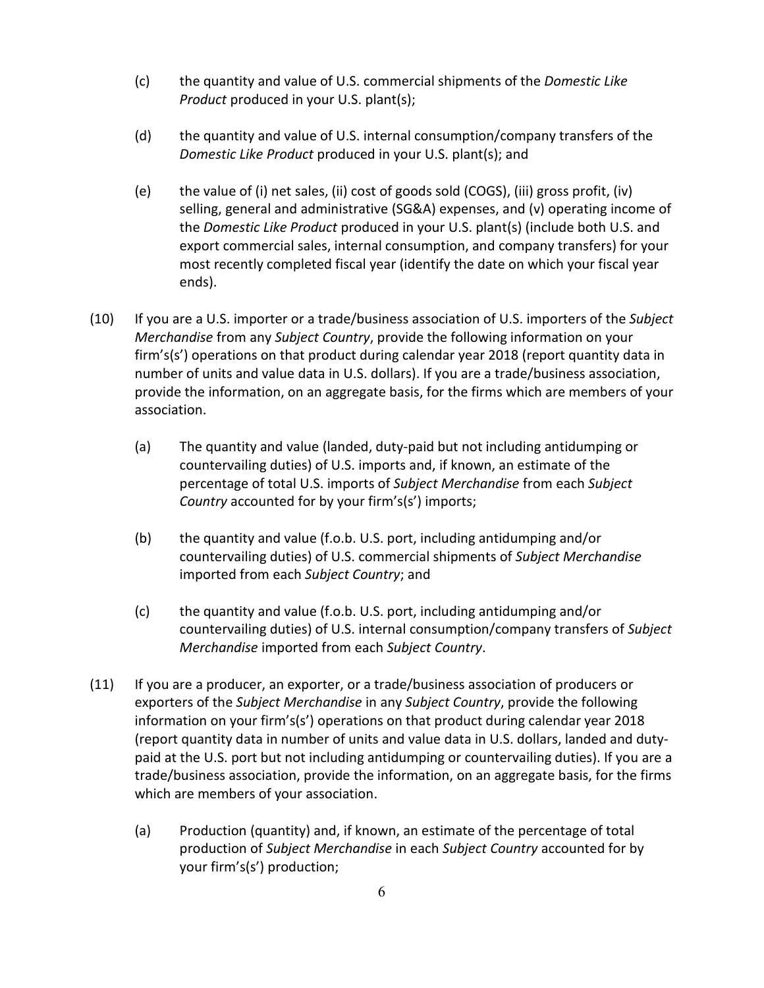- (c) the quantity and value of U.S. commercial shipments of the *Domestic Like Product* produced in your U.S. plant(s);
- (d) the quantity and value of U.S. internal consumption/company transfers of the *Domestic Like Product* produced in your U.S. plant(s); and
- (e) the value of (i) net sales, (ii) cost of goods sold (COGS), (iii) gross profit, (iv) selling, general and administrative (SG&A) expenses, and (v) operating income of the *Domestic Like Product* produced in your U.S. plant(s) (include both U.S. and export commercial sales, internal consumption, and company transfers) for your most recently completed fiscal year (identify the date on which your fiscal year ends).
- (10) If you are a U.S. importer or a trade/business association of U.S. importers of the *Subject Merchandise* from any *Subject Country*, provide the following information on your firm's(s') operations on that product during calendar year 2018 (report quantity data in number of units and value data in U.S. dollars). If you are a trade/business association, provide the information, on an aggregate basis, for the firms which are members of your association.
	- (a) The quantity and value (landed, duty-paid but not including antidumping or countervailing duties) of U.S. imports and, if known, an estimate of the percentage of total U.S. imports of *Subject Merchandise* from each *Subject Country* accounted for by your firm's(s') imports;
	- (b) the quantity and value (f.o.b. U.S. port, including antidumping and/or countervailing duties) of U.S. commercial shipments of *Subject Merchandise* imported from each *Subject Country*; and
	- (c) the quantity and value (f.o.b. U.S. port, including antidumping and/or countervailing duties) of U.S. internal consumption/company transfers of *Subject Merchandise* imported from each *Subject Country*.
- (11) If you are a producer, an exporter, or a trade/business association of producers or exporters of the *Subject Merchandise* in any *Subject Country*, provide the following information on your firm's(s') operations on that product during calendar year 2018 (report quantity data in number of units and value data in U.S. dollars, landed and dutypaid at the U.S. port but not including antidumping or countervailing duties). If you are a trade/business association, provide the information, on an aggregate basis, for the firms which are members of your association.
	- (a) Production (quantity) and, if known, an estimate of the percentage of total production of *Subject Merchandise* in each *Subject Country* accounted for by your firm's(s') production;